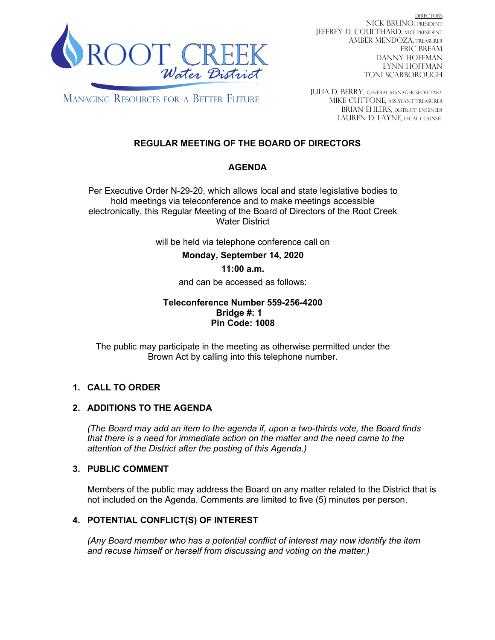

DIRECTORS NICK BRUNO, PRESIDENT JEFFREY D. COULTHARD, Vice President AMBER MENDOZA, TREASURER ERIC BREAM DANNY HOFFMAN LYNN HOFFMAN TONI SCARBOROUGH

**MANAGING RESOURCES FOR A BETTER FUTURE** 

JULIA D. BERRY, GENERAL MANAGER/secretary MIKE CUTTONE, Assistant treasurer BRIAN EHLERS, DISTRICT ENGINEER LAUREN D. LAYNE, LEGAL COUNSEL

# **REGULAR MEETING OF THE BOARD OF DIRECTORS**

## **AGENDA**

Per Executive Order N-29-20, which allows local and state legislative bodies to hold meetings via teleconference and to make meetings accessible electronically, this Regular Meeting of the Board of Directors of the Root Creek Water District

will be held via telephone conference call on

**Monday, September 14, 2020** 

## **11:00 a.m.**

and can be accessed as follows:

#### **Teleconference Number 559-256-4200 Bridge #: 1 Pin Code: 1008**

The public may participate in the meeting as otherwise permitted under the Brown Act by calling into this telephone number.

## **1. CALL TO ORDER**

## **2. ADDITIONS TO THE AGENDA**

*(The Board may add an item to the agenda if, upon a two-thirds vote, the Board finds that there is a need for immediate action on the matter and the need came to the attention of the District after the posting of this Agenda.)*

## **3. PUBLIC COMMENT**

Members of the public may address the Board on any matter related to the District that is not included on the Agenda. Comments are limited to five (5) minutes per person.

## **4. POTENTIAL CONFLICT(S) OF INTEREST**

*(Any Board member who has a potential conflict of interest may now identify the item and recuse himself or herself from discussing and voting on the matter.)*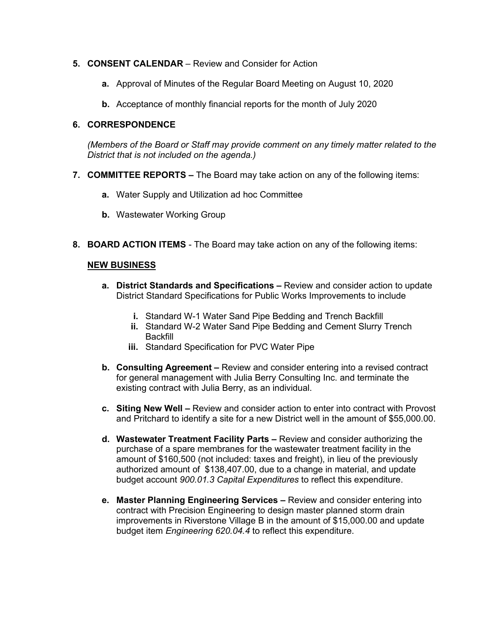#### **5. CONSENT CALENDAR** – Review and Consider for Action

- **a.** Approval of Minutes of the Regular Board Meeting on August 10, 2020
- **b.** Acceptance of monthly financial reports for the month of July 2020

#### **6. CORRESPONDENCE**

*(Members of the Board or Staff may provide comment on any timely matter related to the District that is not included on the agenda.)*

- **7. COMMITTEE REPORTS –** The Board may take action on any of the following items:
	- **a.** Water Supply and Utilization ad hoc Committee
	- **b.** Wastewater Working Group
- **8. BOARD ACTION ITEMS**  The Board may take action on any of the following items:

#### **NEW BUSINESS**

- **a. District Standards and Specifications –** Review and consider action to update District Standard Specifications for Public Works Improvements to include
	- **i.** Standard W-1 Water Sand Pipe Bedding and Trench Backfill
	- **ii.** Standard W-2 Water Sand Pipe Bedding and Cement Slurry Trench **Backfill**
	- **iii.** Standard Specification for PVC Water Pipe
- **b. Consulting Agreement –** Review and consider entering into a revised contract for general management with Julia Berry Consulting Inc. and terminate the existing contract with Julia Berry, as an individual.
- **c. Siting New Well –** Review and consider action to enter into contract with Provost and Pritchard to identify a site for a new District well in the amount of \$55,000.00.
- **d. Wastewater Treatment Facility Parts –** Review and consider authorizing the purchase of a spare membranes for the wastewater treatment facility in the amount of \$160,500 (not included: taxes and freight), in lieu of the previously authorized amount of \$138,407.00, due to a change in material, and update budget account *900.01.3 Capital Expenditures* to reflect this expenditure.
- **e. Master Planning Engineering Services –** Review and consider entering into contract with Precision Engineering to design master planned storm drain improvements in Riverstone Village B in the amount of \$15,000.00 and update budget item *Engineering 620.04.4* to reflect this expenditure.